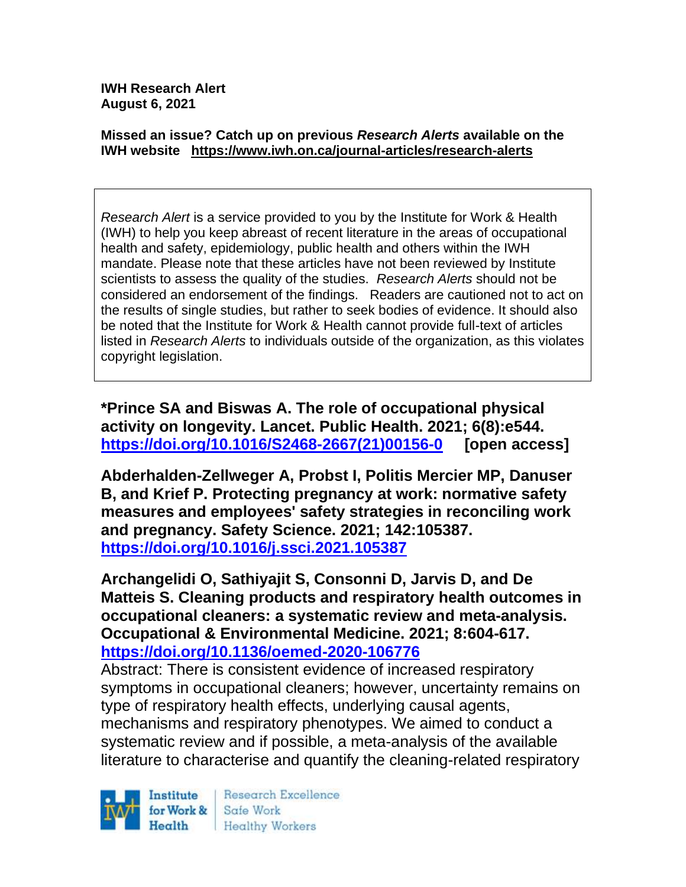**IWH Research Alert August 6, 2021**

#### **Missed an issue? Catch up on previous** *Research Alerts* **available on the [IWH website](http://www.iwh.on.ca/research-alerts) <https://www.iwh.on.ca/journal-articles/research-alerts>**

*Research Alert* is a service provided to you by the Institute for Work & Health (IWH) to help you keep abreast of recent literature in the areas of occupational health and safety, epidemiology, public health and others within the IWH mandate. Please note that these articles have not been reviewed by Institute scientists to assess the quality of the studies. *Research Alerts* should not be considered an endorsement of the findings. Readers are cautioned not to act on the results of single studies, but rather to seek bodies of evidence. It should also be noted that the Institute for Work & Health cannot provide full-text of articles listed in *Research Alerts* to individuals outside of the organization, as this violates copyright legislation.

**\*Prince SA and Biswas A. The role of occupational physical activity on longevity. Lancet. Public Health. 2021; 6(8):e544. [https://doi.org/10.1016/S2468-2667\(21\)00156-0](https://doi.org/10.1016/S2468-2667(21)00156-0) [open access]**

**Abderhalden-Zellweger A, Probst I, Politis Mercier MP, Danuser B, and Krief P. Protecting pregnancy at work: normative safety measures and employees' safety strategies in reconciling work and pregnancy. Safety Science. 2021; 142:105387. <https://doi.org/10.1016/j.ssci.2021.105387>** 

**Archangelidi O, Sathiyajit S, Consonni D, Jarvis D, and De Matteis S. Cleaning products and respiratory health outcomes in occupational cleaners: a systematic review and meta-analysis. Occupational & Environmental Medicine. 2021; 8:604-617. <https://doi.org/10.1136/oemed-2020-106776>** 

Abstract: There is consistent evidence of increased respiratory symptoms in occupational cleaners; however, uncertainty remains on type of respiratory health effects, underlying causal agents, mechanisms and respiratory phenotypes. We aimed to conduct a systematic review and if possible, a meta-analysis of the available literature to characterise and quantify the cleaning-related respiratory

Institute Health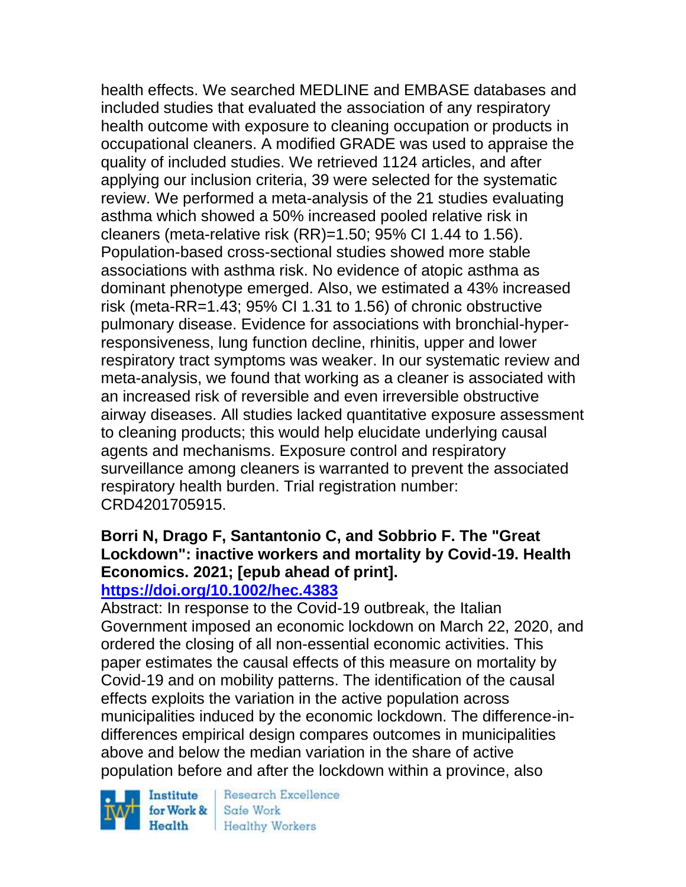health effects. We searched MEDLINE and EMBASE databases and included studies that evaluated the association of any respiratory health outcome with exposure to cleaning occupation or products in occupational cleaners. A modified GRADE was used to appraise the quality of included studies. We retrieved 1124 articles, and after applying our inclusion criteria, 39 were selected for the systematic review. We performed a meta-analysis of the 21 studies evaluating asthma which showed a 50% increased pooled relative risk in cleaners (meta-relative risk (RR)=1.50; 95% CI 1.44 to 1.56). Population-based cross-sectional studies showed more stable associations with asthma risk. No evidence of atopic asthma as dominant phenotype emerged. Also, we estimated a 43% increased risk (meta-RR=1.43; 95% CI 1.31 to 1.56) of chronic obstructive pulmonary disease. Evidence for associations with bronchial-hyperresponsiveness, lung function decline, rhinitis, upper and lower respiratory tract symptoms was weaker. In our systematic review and meta-analysis, we found that working as a cleaner is associated with an increased risk of reversible and even irreversible obstructive airway diseases. All studies lacked quantitative exposure assessment to cleaning products; this would help elucidate underlying causal agents and mechanisms. Exposure control and respiratory surveillance among cleaners is warranted to prevent the associated respiratory health burden. Trial registration number: CRD4201705915.

#### **Borri N, Drago F, Santantonio C, and Sobbrio F. The "Great Lockdown": inactive workers and mortality by Covid-19. Health Economics. 2021; [epub ahead of print]. <https://doi.org/10.1002/hec.4383>**

Abstract: In response to the Covid-19 outbreak, the Italian Government imposed an economic lockdown on March 22, 2020, and ordered the closing of all non-essential economic activities. This paper estimates the causal effects of this measure on mortality by Covid-19 and on mobility patterns. The identification of the causal effects exploits the variation in the active population across municipalities induced by the economic lockdown. The difference-indifferences empirical design compares outcomes in municipalities above and below the median variation in the share of active population before and after the lockdown within a province, also

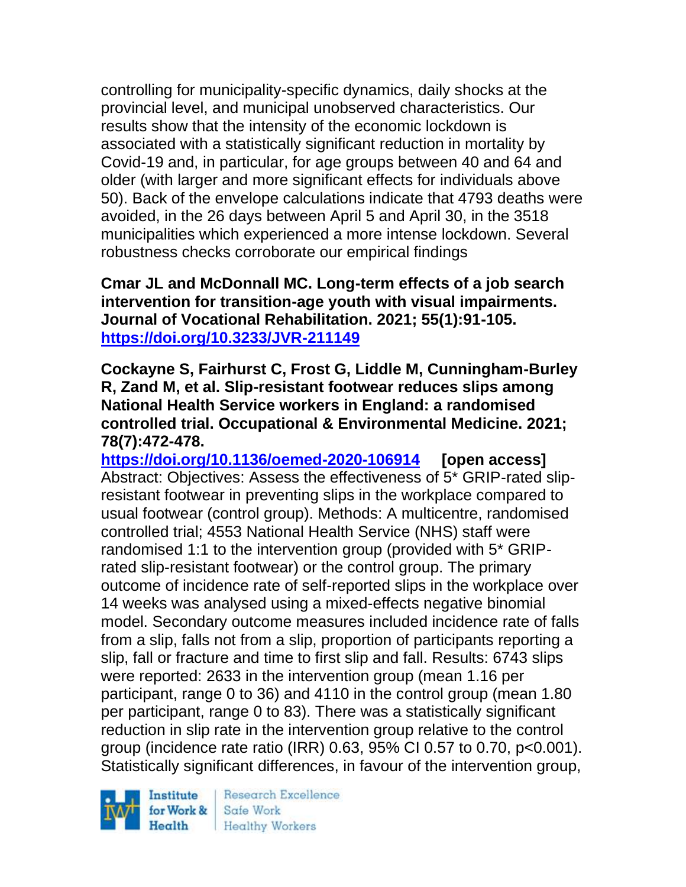controlling for municipality-specific dynamics, daily shocks at the provincial level, and municipal unobserved characteristics. Our results show that the intensity of the economic lockdown is associated with a statistically significant reduction in mortality by Covid-19 and, in particular, for age groups between 40 and 64 and older (with larger and more significant effects for individuals above 50). Back of the envelope calculations indicate that 4793 deaths were avoided, in the 26 days between April 5 and April 30, in the 3518 municipalities which experienced a more intense lockdown. Several robustness checks corroborate our empirical findings

**Cmar JL and McDonnall MC. Long-term effects of a job search intervention for transition-age youth with visual impairments. Journal of Vocational Rehabilitation. 2021; 55(1):91-105. <https://doi.org/10.3233/JVR-211149>** 

**Cockayne S, Fairhurst C, Frost G, Liddle M, Cunningham-Burley R, Zand M, et al. Slip-resistant footwear reduces slips among National Health Service workers in England: a randomised controlled trial. Occupational & Environmental Medicine. 2021; 78(7):472-478.** 

**<https://doi.org/10.1136/oemed-2020-106914> [open access]** Abstract: Objectives: Assess the effectiveness of 5\* GRIP-rated slipresistant footwear in preventing slips in the workplace compared to usual footwear (control group). Methods: A multicentre, randomised controlled trial; 4553 National Health Service (NHS) staff were randomised 1:1 to the intervention group (provided with 5\* GRIPrated slip-resistant footwear) or the control group. The primary outcome of incidence rate of self-reported slips in the workplace over 14 weeks was analysed using a mixed-effects negative binomial model. Secondary outcome measures included incidence rate of falls from a slip, falls not from a slip, proportion of participants reporting a slip, fall or fracture and time to first slip and fall. Results: 6743 slips were reported: 2633 in the intervention group (mean 1.16 per participant, range 0 to 36) and 4110 in the control group (mean 1.80 per participant, range 0 to 83). There was a statistically significant reduction in slip rate in the intervention group relative to the control group (incidence rate ratio (IRR) 0.63, 95% CI 0.57 to 0.70, p<0.001). Statistically significant differences, in favour of the intervention group,

Institute Health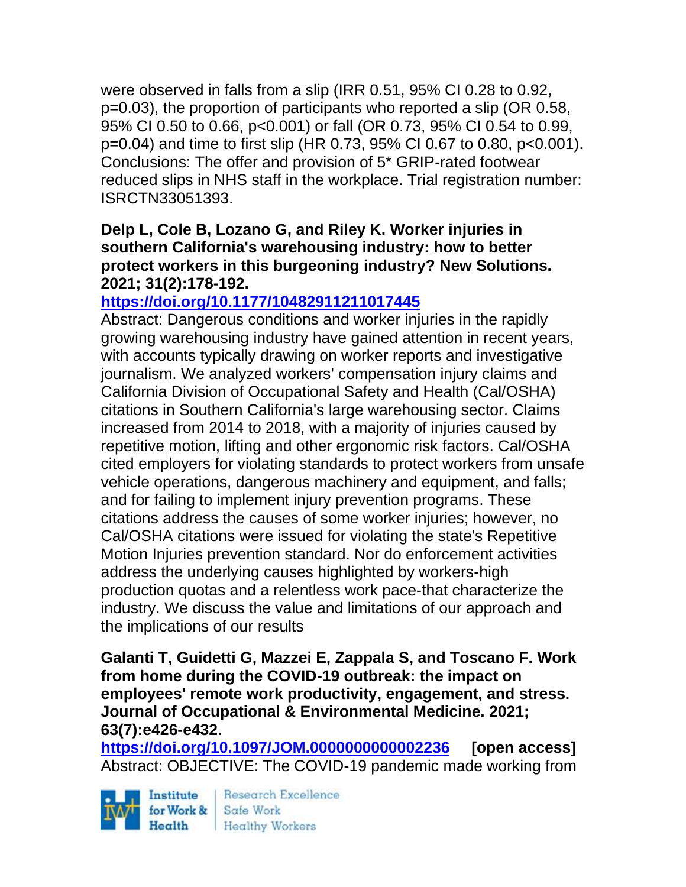were observed in falls from a slip (IRR 0.51, 95% CI 0.28 to 0.92, p=0.03), the proportion of participants who reported a slip (OR 0.58, 95% CI 0.50 to 0.66, p<0.001) or fall (OR 0.73, 95% CI 0.54 to 0.99, p=0.04) and time to first slip (HR 0.73, 95% CI 0.67 to 0.80, p<0.001). Conclusions: The offer and provision of 5\* GRIP-rated footwear reduced slips in NHS staff in the workplace. Trial registration number: ISRCTN33051393.

### **Delp L, Cole B, Lozano G, and Riley K. Worker injuries in southern California's warehousing industry: how to better protect workers in this burgeoning industry? New Solutions. 2021; 31(2):178-192.**

# **<https://doi.org/10.1177/10482911211017445>**

Abstract: Dangerous conditions and worker injuries in the rapidly growing warehousing industry have gained attention in recent years, with accounts typically drawing on worker reports and investigative journalism. We analyzed workers' compensation injury claims and California Division of Occupational Safety and Health (Cal/OSHA) citations in Southern California's large warehousing sector. Claims increased from 2014 to 2018, with a majority of injuries caused by repetitive motion, lifting and other ergonomic risk factors. Cal/OSHA cited employers for violating standards to protect workers from unsafe vehicle operations, dangerous machinery and equipment, and falls; and for failing to implement injury prevention programs. These citations address the causes of some worker injuries; however, no Cal/OSHA citations were issued for violating the state's Repetitive Motion Injuries prevention standard. Nor do enforcement activities address the underlying causes highlighted by workers-high production quotas and a relentless work pace-that characterize the industry. We discuss the value and limitations of our approach and the implications of our results

**Galanti T, Guidetti G, Mazzei E, Zappala S, and Toscano F. Work from home during the COVID-19 outbreak: the impact on employees' remote work productivity, engagement, and stress. Journal of Occupational & Environmental Medicine. 2021; 63(7):e426-e432.** 

**<https://doi.org/10.1097/JOM.0000000000002236> [open access]** Abstract: OBJECTIVE: The COVID-19 pandemic made working from

Institute for Work & Safe Work Health

Research Excellence Healthy Workers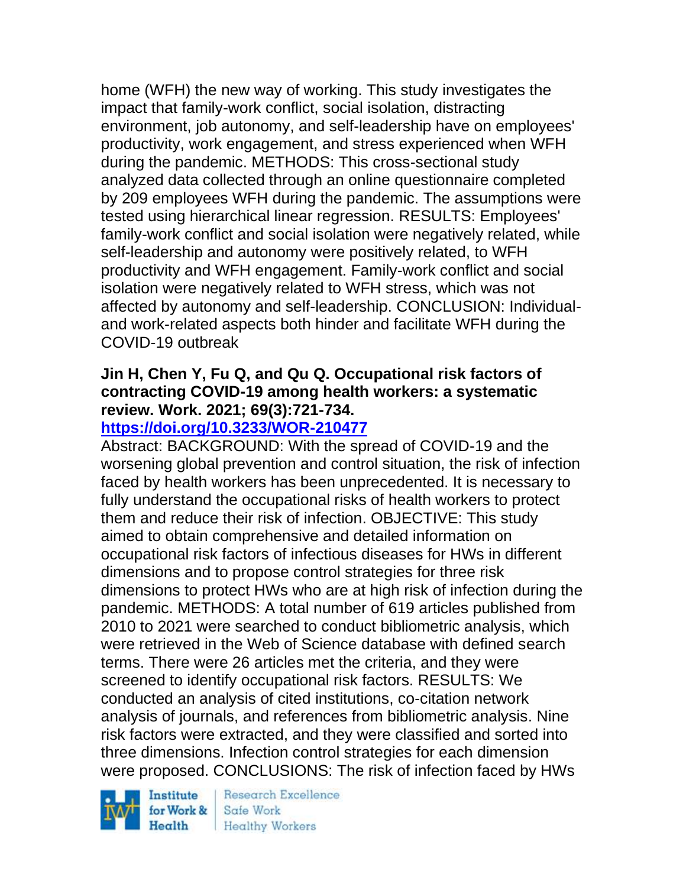home (WFH) the new way of working. This study investigates the impact that family-work conflict, social isolation, distracting environment, job autonomy, and self-leadership have on employees' productivity, work engagement, and stress experienced when WFH during the pandemic. METHODS: This cross-sectional study analyzed data collected through an online questionnaire completed by 209 employees WFH during the pandemic. The assumptions were tested using hierarchical linear regression. RESULTS: Employees' family-work conflict and social isolation were negatively related, while self-leadership and autonomy were positively related, to WFH productivity and WFH engagement. Family-work conflict and social isolation were negatively related to WFH stress, which was not affected by autonomy and self-leadership. CONCLUSION: Individualand work-related aspects both hinder and facilitate WFH during the COVID-19 outbreak

## **Jin H, Chen Y, Fu Q, and Qu Q. Occupational risk factors of contracting COVID-19 among health workers: a systematic review. Work. 2021; 69(3):721-734.**

# **<https://doi.org/10.3233/WOR-210477>**

Abstract: BACKGROUND: With the spread of COVID-19 and the worsening global prevention and control situation, the risk of infection faced by health workers has been unprecedented. It is necessary to fully understand the occupational risks of health workers to protect them and reduce their risk of infection. OBJECTIVE: This study aimed to obtain comprehensive and detailed information on occupational risk factors of infectious diseases for HWs in different dimensions and to propose control strategies for three risk dimensions to protect HWs who are at high risk of infection during the pandemic. METHODS: A total number of 619 articles published from 2010 to 2021 were searched to conduct bibliometric analysis, which were retrieved in the Web of Science database with defined search terms. There were 26 articles met the criteria, and they were screened to identify occupational risk factors. RESULTS: We conducted an analysis of cited institutions, co-citation network analysis of journals, and references from bibliometric analysis. Nine risk factors were extracted, and they were classified and sorted into three dimensions. Infection control strategies for each dimension were proposed. CONCLUSIONS: The risk of infection faced by HWs

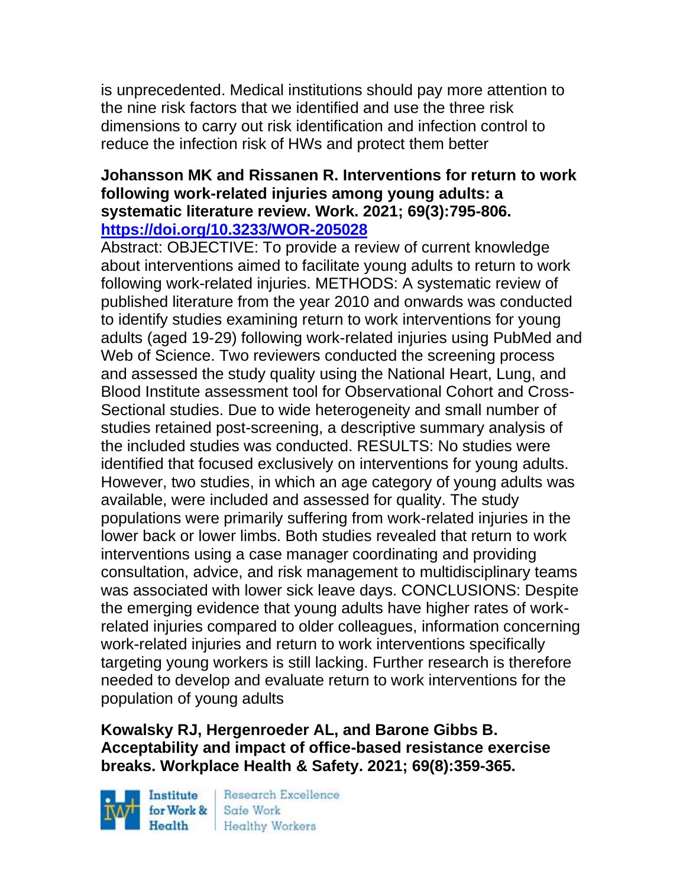is unprecedented. Medical institutions should pay more attention to the nine risk factors that we identified and use the three risk dimensions to carry out risk identification and infection control to reduce the infection risk of HWs and protect them better

### **Johansson MK and Rissanen R. Interventions for return to work following work-related injuries among young adults: a systematic literature review. Work. 2021; 69(3):795-806. <https://doi.org/10.3233/WOR-205028>**

Abstract: OBJECTIVE: To provide a review of current knowledge about interventions aimed to facilitate young adults to return to work following work-related injuries. METHODS: A systematic review of published literature from the year 2010 and onwards was conducted to identify studies examining return to work interventions for young adults (aged 19-29) following work-related injuries using PubMed and Web of Science. Two reviewers conducted the screening process and assessed the study quality using the National Heart, Lung, and Blood Institute assessment tool for Observational Cohort and Cross-Sectional studies. Due to wide heterogeneity and small number of studies retained post-screening, a descriptive summary analysis of the included studies was conducted. RESULTS: No studies were identified that focused exclusively on interventions for young adults. However, two studies, in which an age category of young adults was available, were included and assessed for quality. The study populations were primarily suffering from work-related injuries in the lower back or lower limbs. Both studies revealed that return to work interventions using a case manager coordinating and providing consultation, advice, and risk management to multidisciplinary teams was associated with lower sick leave days. CONCLUSIONS: Despite the emerging evidence that young adults have higher rates of workrelated injuries compared to older colleagues, information concerning work-related injuries and return to work interventions specifically targeting young workers is still lacking. Further research is therefore needed to develop and evaluate return to work interventions for the population of young adults

## **Kowalsky RJ, Hergenroeder AL, and Barone Gibbs B. Acceptability and impact of office-based resistance exercise breaks. Workplace Health & Safety. 2021; 69(8):359-365.**

Institute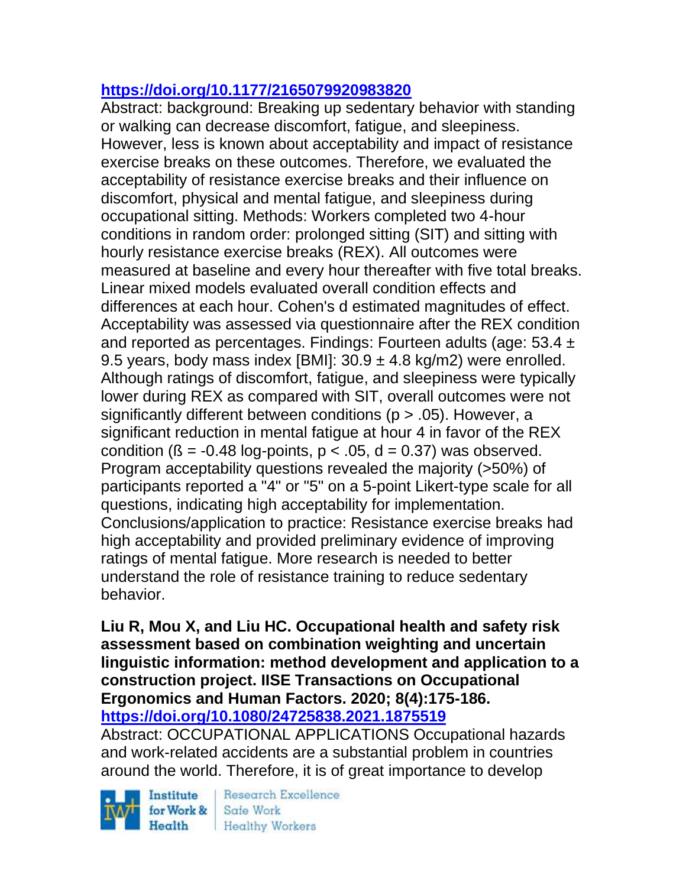# **<https://doi.org/10.1177/2165079920983820>**

Abstract: background: Breaking up sedentary behavior with standing or walking can decrease discomfort, fatigue, and sleepiness. However, less is known about acceptability and impact of resistance exercise breaks on these outcomes. Therefore, we evaluated the acceptability of resistance exercise breaks and their influence on discomfort, physical and mental fatigue, and sleepiness during occupational sitting. Methods: Workers completed two 4-hour conditions in random order: prolonged sitting (SIT) and sitting with hourly resistance exercise breaks (REX). All outcomes were measured at baseline and every hour thereafter with five total breaks. Linear mixed models evaluated overall condition effects and differences at each hour. Cohen's d estimated magnitudes of effect. Acceptability was assessed via questionnaire after the REX condition and reported as percentages. Findings: Fourteen adults (age: 53.4 ± 9.5 years, body mass index [BMI]:  $30.9 \pm 4.8$  kg/m2) were enrolled. Although ratings of discomfort, fatigue, and sleepiness were typically lower during REX as compared with SIT, overall outcomes were not significantly different between conditions ( $p > .05$ ). However, a significant reduction in mental fatigue at hour 4 in favor of the REX condition ( $\beta$  = -0.48 log-points,  $p < .05$ , d = 0.37) was observed. Program acceptability questions revealed the majority (>50%) of participants reported a "4" or "5" on a 5-point Likert-type scale for all questions, indicating high acceptability for implementation. Conclusions/application to practice: Resistance exercise breaks had high acceptability and provided preliminary evidence of improving ratings of mental fatigue. More research is needed to better understand the role of resistance training to reduce sedentary behavior.

**Liu R, Mou X, and Liu HC. Occupational health and safety risk assessment based on combination weighting and uncertain linguistic information: method development and application to a construction project. IISE Transactions on Occupational Ergonomics and Human Factors. 2020; 8(4):175-186. <https://doi.org/10.1080/24725838.2021.1875519>** 

Abstract: OCCUPATIONAL APPLICATIONS Occupational hazards and work-related accidents are a substantial problem in countries around the world. Therefore, it is of great importance to develop

Institute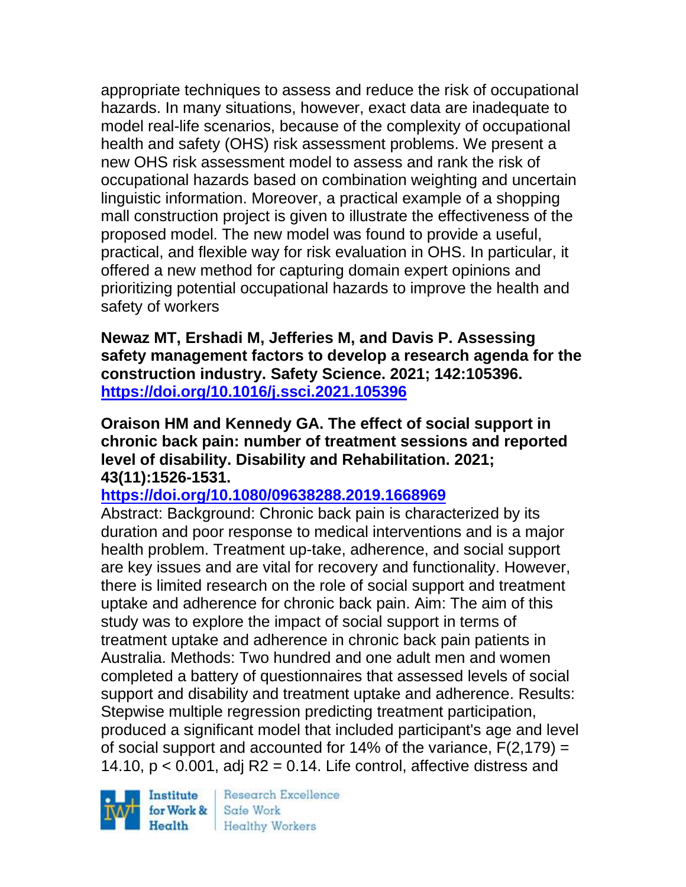appropriate techniques to assess and reduce the risk of occupational hazards. In many situations, however, exact data are inadequate to model real-life scenarios, because of the complexity of occupational health and safety (OHS) risk assessment problems. We present a new OHS risk assessment model to assess and rank the risk of occupational hazards based on combination weighting and uncertain linguistic information. Moreover, a practical example of a shopping mall construction project is given to illustrate the effectiveness of the proposed model. The new model was found to provide a useful, practical, and flexible way for risk evaluation in OHS. In particular, it offered a new method for capturing domain expert opinions and prioritizing potential occupational hazards to improve the health and safety of workers

**Newaz MT, Ershadi M, Jefferies M, and Davis P. Assessing safety management factors to develop a research agenda for the construction industry. Safety Science. 2021; 142:105396. <https://doi.org/10.1016/j.ssci.2021.105396>** 

**Oraison HM and Kennedy GA. The effect of social support in chronic back pain: number of treatment sessions and reported level of disability. Disability and Rehabilitation. 2021; 43(11):1526-1531.** 

**<https://doi.org/10.1080/09638288.2019.1668969>** 

Abstract: Background: Chronic back pain is characterized by its duration and poor response to medical interventions and is a major health problem. Treatment up-take, adherence, and social support are key issues and are vital for recovery and functionality. However, there is limited research on the role of social support and treatment uptake and adherence for chronic back pain. Aim: The aim of this study was to explore the impact of social support in terms of treatment uptake and adherence in chronic back pain patients in Australia. Methods: Two hundred and one adult men and women completed a battery of questionnaires that assessed levels of social support and disability and treatment uptake and adherence. Results: Stepwise multiple regression predicting treatment participation, produced a significant model that included participant's age and level of social support and accounted for 14% of the variance,  $F(2,179) =$ 14.10,  $p < 0.001$ , adj R2 = 0.14. Life control, affective distress and

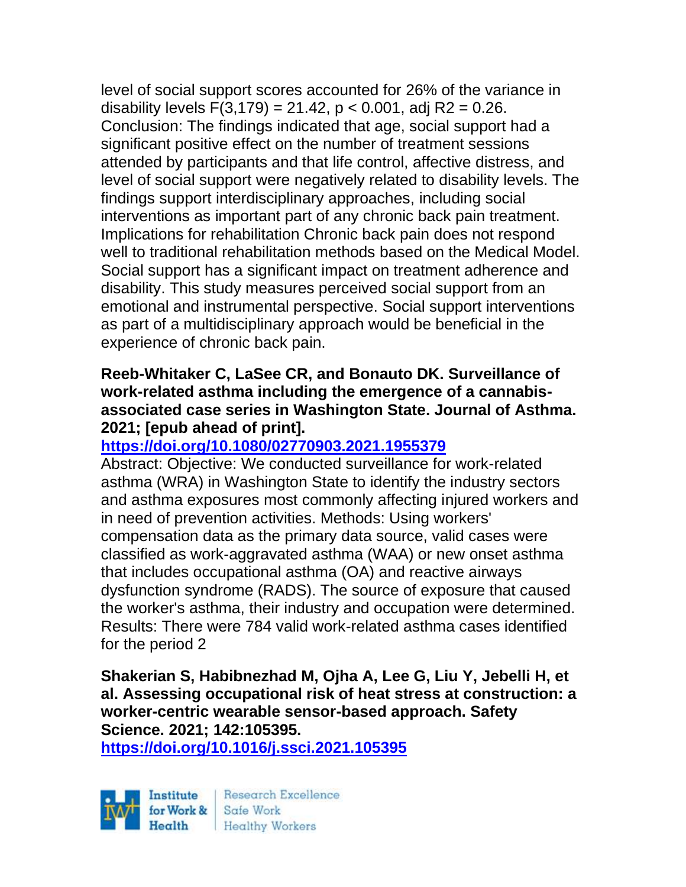level of social support scores accounted for 26% of the variance in disability levels  $F(3,179) = 21.42$ ,  $p < 0.001$ , adj R2 = 0.26. Conclusion: The findings indicated that age, social support had a significant positive effect on the number of treatment sessions attended by participants and that life control, affective distress, and level of social support were negatively related to disability levels. The findings support interdisciplinary approaches, including social interventions as important part of any chronic back pain treatment. Implications for rehabilitation Chronic back pain does not respond well to traditional rehabilitation methods based on the Medical Model. Social support has a significant impact on treatment adherence and disability. This study measures perceived social support from an emotional and instrumental perspective. Social support interventions as part of a multidisciplinary approach would be beneficial in the experience of chronic back pain.

#### **Reeb-Whitaker C, LaSee CR, and Bonauto DK. Surveillance of work-related asthma including the emergence of a cannabisassociated case series in Washington State. Journal of Asthma. 2021; [epub ahead of print].**

## **<https://doi.org/10.1080/02770903.2021.1955379>**

Abstract: Objective: We conducted surveillance for work-related asthma (WRA) in Washington State to identify the industry sectors and asthma exposures most commonly affecting injured workers and in need of prevention activities. Methods: Using workers' compensation data as the primary data source, valid cases were classified as work-aggravated asthma (WAA) or new onset asthma that includes occupational asthma (OA) and reactive airways dysfunction syndrome (RADS). The source of exposure that caused the worker's asthma, their industry and occupation were determined. Results: There were 784 valid work-related asthma cases identified for the period 2

**Shakerian S, Habibnezhad M, Ojha A, Lee G, Liu Y, Jebelli H, et al. Assessing occupational risk of heat stress at construction: a worker-centric wearable sensor-based approach. Safety Science. 2021; 142:105395.**

**<https://doi.org/10.1016/j.ssci.2021.105395>** 



**Research Excellence Healthy Workers**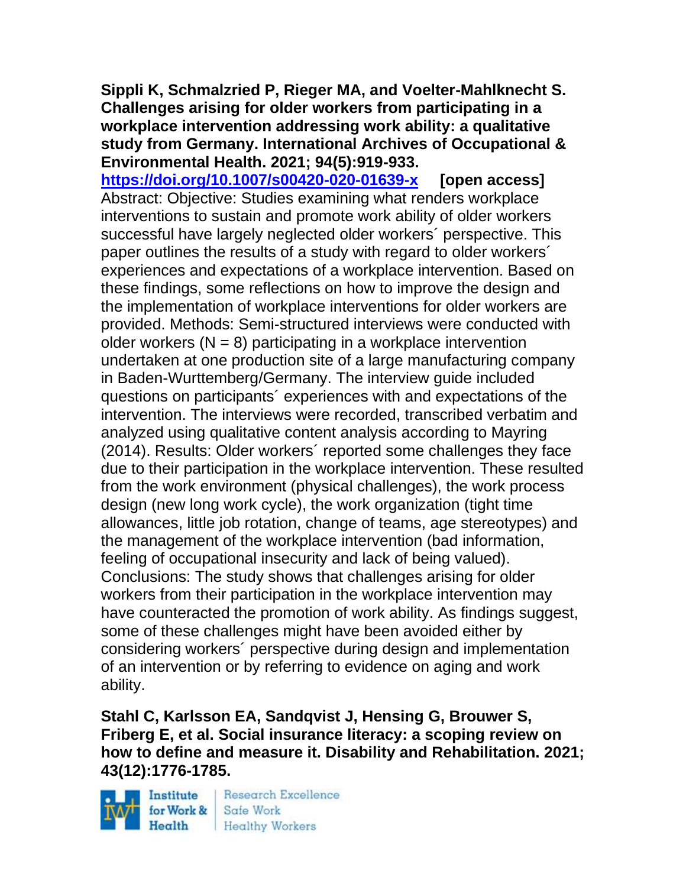**Sippli K, Schmalzried P, Rieger MA, and Voelter-Mahlknecht S. Challenges arising for older workers from participating in a workplace intervention addressing work ability: a qualitative study from Germany. International Archives of Occupational & Environmental Health. 2021; 94(5):919-933.** 

**<https://doi.org/10.1007/s00420-020-01639-x> [open access]** Abstract: Objective: Studies examining what renders workplace interventions to sustain and promote work ability of older workers successful have largely neglected older workers´ perspective. This paper outlines the results of a study with regard to older workers´ experiences and expectations of a workplace intervention. Based on these findings, some reflections on how to improve the design and the implementation of workplace interventions for older workers are provided. Methods: Semi-structured interviews were conducted with older workers  $(N = 8)$  participating in a workplace intervention undertaken at one production site of a large manufacturing company in Baden-Wurttemberg/Germany. The interview guide included questions on participants´ experiences with and expectations of the intervention. The interviews were recorded, transcribed verbatim and analyzed using qualitative content analysis according to Mayring (2014). Results: Older workers´ reported some challenges they face due to their participation in the workplace intervention. These resulted from the work environment (physical challenges), the work process design (new long work cycle), the work organization (tight time allowances, little job rotation, change of teams, age stereotypes) and the management of the workplace intervention (bad information, feeling of occupational insecurity and lack of being valued). Conclusions: The study shows that challenges arising for older workers from their participation in the workplace intervention may have counteracted the promotion of work ability. As findings suggest, some of these challenges might have been avoided either by considering workers´ perspective during design and implementation of an intervention or by referring to evidence on aging and work ability.

**Stahl C, Karlsson EA, Sandqvist J, Hensing G, Brouwer S, Friberg E, et al. Social insurance literacy: a scoping review on how to define and measure it. Disability and Rehabilitation. 2021; 43(12):1776-1785.** 

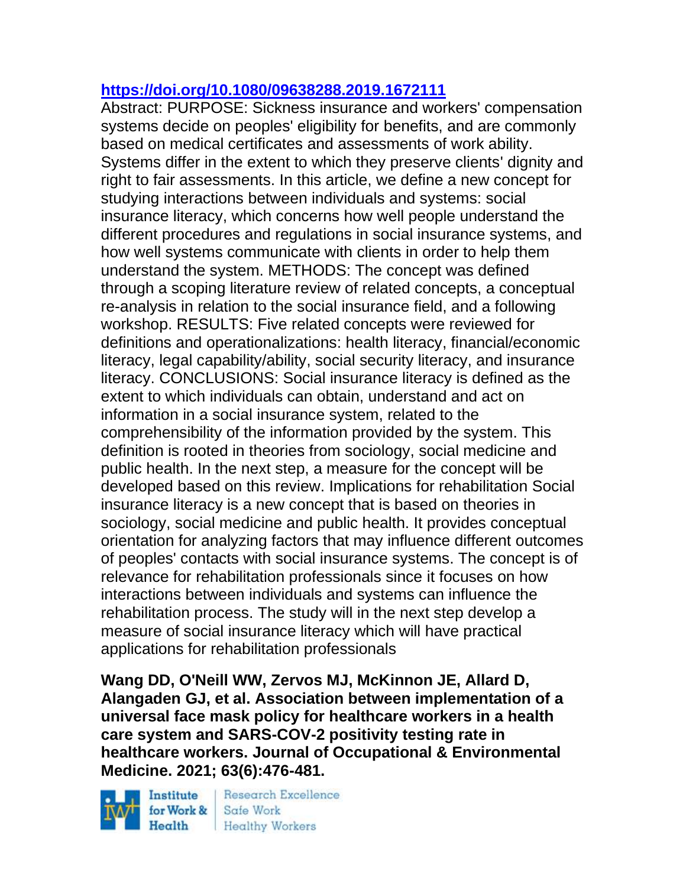## **<https://doi.org/10.1080/09638288.2019.1672111>**

Abstract: PURPOSE: Sickness insurance and workers' compensation systems decide on peoples' eligibility for benefits, and are commonly based on medical certificates and assessments of work ability. Systems differ in the extent to which they preserve clients' dignity and right to fair assessments. In this article, we define a new concept for studying interactions between individuals and systems: social insurance literacy, which concerns how well people understand the different procedures and regulations in social insurance systems, and how well systems communicate with clients in order to help them understand the system. METHODS: The concept was defined through a scoping literature review of related concepts, a conceptual re-analysis in relation to the social insurance field, and a following workshop. RESULTS: Five related concepts were reviewed for definitions and operationalizations: health literacy, financial/economic literacy, legal capability/ability, social security literacy, and insurance literacy. CONCLUSIONS: Social insurance literacy is defined as the extent to which individuals can obtain, understand and act on information in a social insurance system, related to the comprehensibility of the information provided by the system. This definition is rooted in theories from sociology, social medicine and public health. In the next step, a measure for the concept will be developed based on this review. Implications for rehabilitation Social insurance literacy is a new concept that is based on theories in sociology, social medicine and public health. It provides conceptual orientation for analyzing factors that may influence different outcomes of peoples' contacts with social insurance systems. The concept is of relevance for rehabilitation professionals since it focuses on how interactions between individuals and systems can influence the rehabilitation process. The study will in the next step develop a measure of social insurance literacy which will have practical applications for rehabilitation professionals

**Wang DD, O'Neill WW, Zervos MJ, McKinnon JE, Allard D, Alangaden GJ, et al. Association between implementation of a universal face mask policy for healthcare workers in a health care system and SARS-COV-2 positivity testing rate in healthcare workers. Journal of Occupational & Environmental Medicine. 2021; 63(6):476-481.** 

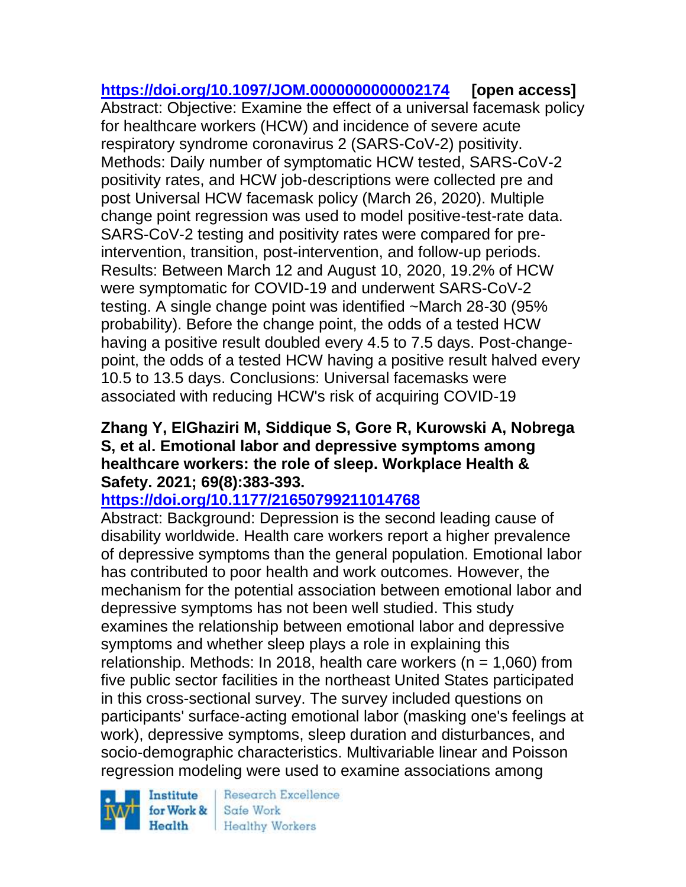**<https://doi.org/10.1097/JOM.0000000000002174> [open access]** Abstract: Objective: Examine the effect of a universal facemask policy for healthcare workers (HCW) and incidence of severe acute respiratory syndrome coronavirus 2 (SARS-CoV-2) positivity. Methods: Daily number of symptomatic HCW tested, SARS-CoV-2 positivity rates, and HCW job-descriptions were collected pre and post Universal HCW facemask policy (March 26, 2020). Multiple change point regression was used to model positive-test-rate data. SARS-CoV-2 testing and positivity rates were compared for preintervention, transition, post-intervention, and follow-up periods. Results: Between March 12 and August 10, 2020, 19.2% of HCW were symptomatic for COVID-19 and underwent SARS-CoV-2 testing. A single change point was identified ~March 28-30 (95% probability). Before the change point, the odds of a tested HCW having a positive result doubled every 4.5 to 7.5 days. Post-changepoint, the odds of a tested HCW having a positive result halved every 10.5 to 13.5 days. Conclusions: Universal facemasks were associated with reducing HCW's risk of acquiring COVID-19

### **Zhang Y, ElGhaziri M, Siddique S, Gore R, Kurowski A, Nobrega S, et al. Emotional labor and depressive symptoms among healthcare workers: the role of sleep. Workplace Health & Safety. 2021; 69(8):383-393.**

## **<https://doi.org/10.1177/21650799211014768>**

Abstract: Background: Depression is the second leading cause of disability worldwide. Health care workers report a higher prevalence of depressive symptoms than the general population. Emotional labor has contributed to poor health and work outcomes. However, the mechanism for the potential association between emotional labor and depressive symptoms has not been well studied. This study examines the relationship between emotional labor and depressive symptoms and whether sleep plays a role in explaining this relationship. Methods: In 2018, health care workers ( $n = 1,060$ ) from five public sector facilities in the northeast United States participated in this cross-sectional survey. The survey included questions on participants' surface-acting emotional labor (masking one's feelings at work), depressive symptoms, sleep duration and disturbances, and socio-demographic characteristics. Multivariable linear and Poisson regression modeling were used to examine associations among